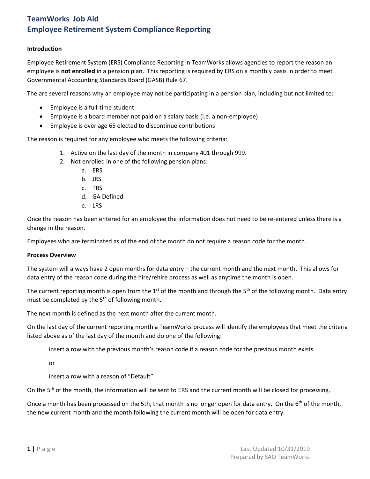### **Introduction**

Employee Retirement System (ERS) Compliance Reporting in TeamWorks allows agencies to report the reason an employee is **not enrolled** in a pension plan. This reporting is required by ERS on a monthly basis in order to meet Governmental Accounting Standards Board (GASB) Rule 67.

The are several reasons why an employee may not be participating in a pension plan, including but not limited to:

- Employee is a full-time student
- Employee is a board member not paid on a salary basis (i.e. a non-employee)
- Employee is over age 65 elected to discontinue contributions

The reason is required for any employee who meets the following criteria:

- 1. Active on the last day of the month in company 401 through 999.
- 2. Not enrolled in one of the following pension plans:
	- a. ERS
	- b. JRS
	- c. TRS
	- d. GA Defined
	- e. LRS

Once the reason has been entered for an employee the information does not need to be re-entered unless there is a change in the reason.

Employees who are terminated as of the end of the month do not require a reason code for the month.

#### **Process Overview**

The system will always have 2 open months for data entry – the current month and the next month. This allows for data entry of the reason code during the hire/rehire process as well as anytime the month is open.

The current reporting month is open from the 1<sup>st</sup> of the month and through the 5<sup>th</sup> of the following month. Data entry must be completed by the  $5<sup>th</sup>$  of following month.

The next month is defined as the next month after the current month.

On the last day of the current reporting month a TeamWorks process will identify the employees that meet the criteria listed above as of the last day of the month and do one of the following:

insert a row with the previous month's reason code if a reason code for the previous month exists

or

insert a row with a reason of "Default".

On the  $5<sup>th</sup>$  of the month, the information will be sent to ERS and the current month will be closed for processing.

Once a month has been processed on the 5th, that month is no longer open for data entry. On the  $6<sup>th</sup>$  of the month, the new current month and the month following the current month will be open for data entry.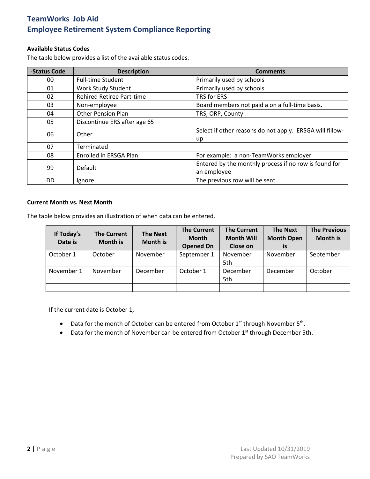### **Available Status Codes**

The table below provides a list of the available status codes.

| -Status Code   | <b>Description</b>               | <b>Comments</b>                                          |  |  |
|----------------|----------------------------------|----------------------------------------------------------|--|--|
| 00             | <b>Full-time Student</b>         | Primarily used by schools                                |  |  |
| 01             | Work Study Student               | Primarily used by schools                                |  |  |
| 02             | <b>Rehired Retiree Part-time</b> | TRS for ERS                                              |  |  |
| 03             | Non-employee                     | Board members not paid a on a full-time basis.           |  |  |
| 04             | <b>Other Pension Plan</b>        | TRS, ORP, County                                         |  |  |
| 05             | Discontinue ERS after age 65     |                                                          |  |  |
| 06             | Other                            | Select if other reasons do not apply. ERSGA will fillow- |  |  |
|                |                                  | up                                                       |  |  |
| 07             | Terminated                       |                                                          |  |  |
| 08             | Enrolled in ERSGA Plan           | For example: a non-TeamWorks employer                    |  |  |
| 99             | Default                          | Entered by the monthly process if no row is found for    |  |  |
|                |                                  | an employee                                              |  |  |
| D <sub>D</sub> | Ignore                           | The previous row will be sent.                           |  |  |

#### **Current Month vs. Next Month**

The table below provides an illustration of when data can be entered.

| If Today's<br>Date is | <b>The Current</b><br><b>Month is</b> | <b>The Next</b><br><b>Month is</b> | <b>The Current</b><br><b>Month</b><br><b>Opened On</b> | <b>The Current</b><br><b>Month Will</b><br>Close on | <b>The Next</b><br><b>Month Open</b><br>is | <b>The Previous</b><br><b>Month is</b> |  |
|-----------------------|---------------------------------------|------------------------------------|--------------------------------------------------------|-----------------------------------------------------|--------------------------------------------|----------------------------------------|--|
| October 1             | October                               | November                           | September 1                                            | November<br>5th                                     | November                                   | September                              |  |
| November 1            | November                              | December                           | October 1                                              | December<br>5th                                     | December                                   | October                                |  |
|                       |                                       |                                    |                                                        |                                                     |                                            |                                        |  |

If the current date is October 1,

- Data for the month of October can be entered from October  $1^{st}$  through November  $5^{th}$ .
- Data for the month of November can be entered from October 1<sup>st</sup> through December 5th.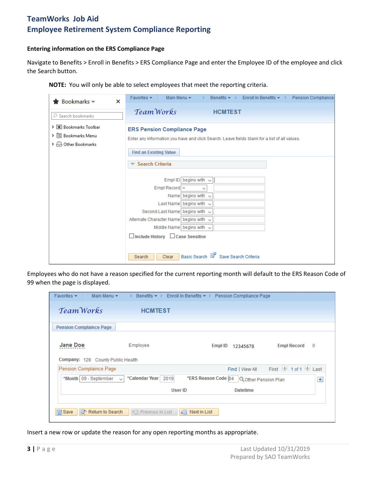### **Entering information on the ERS Compliance Page**

Navigate to Benefits > Enroll in Benefits > ERS Compliance Page and enter the Employee ID of the employee and click the Search button.

**NOTE:** You will only be able to select employees that meet the reporting criteria.

| <b>★</b> Bookmarks ~<br>$\times$                                                            | Benefits $\star$ > Enroll In Benefits $\star$ > Pension Compliance<br>Main Menu $\star$<br>Favorites $\blacktriangledown$<br>$\rightarrow$                                          |  |  |
|---------------------------------------------------------------------------------------------|-------------------------------------------------------------------------------------------------------------------------------------------------------------------------------------|--|--|
| $\oslash$ Search bookmarks                                                                  | Team Works<br><b>HCMTEST</b>                                                                                                                                                        |  |  |
| > El Bookmarks Toolbar<br>> 图 Bookmarks Menu<br>$\rightarrow$ $\rightarrow$ Other Bookmarks | <b>ERS Pension Compliance Page</b><br>Enter any information you have and click Search. Leave fields blank for a list of all values.<br><b>Find an Existing Value</b>                |  |  |
|                                                                                             | <b>Search Criteria</b><br>begins with $\sim$<br>Empl ID<br>$EmpI$ Record =<br>$\checkmark$                                                                                          |  |  |
|                                                                                             | Name begins with $\sim$<br>Last Name begins with $\sim$<br>Second Last Name begins with $\sqrt{ }$<br>Alternate Character Name begins with $\sim$<br>Middle Name begins with $\sim$ |  |  |
|                                                                                             | $\Box$ Include History $\Box$ Case Sensitive<br>Basic Search & Save Search Criteria<br>Clear<br>Search                                                                              |  |  |

Employees who do not have a reason specified for the current reporting month will default to the ERS Reason Code of 99 when the page is displayed.

| Favorites $\blacktriangleright$ | Main Menu $\star$                       | Benefits $\star$ > Enroll In Benefits $\star$ > Pension Compliance Page<br>→. |                       |                |                      |                                                                                                                  |     |
|---------------------------------|-----------------------------------------|-------------------------------------------------------------------------------|-----------------------|----------------|----------------------|------------------------------------------------------------------------------------------------------------------|-----|
| TeamWorks                       |                                         | <b>HCMTEST</b>                                                                |                       |                |                      |                                                                                                                  |     |
|                                 | <b>Pension Complaince Page</b>          |                                                                               |                       |                |                      |                                                                                                                  |     |
| <b>Jane Doe</b>                 | Company: 128 County Public Health       | Employee                                                                      |                       | <b>Empl ID</b> | 12345678             | <b>Empl Record</b>                                                                                               | 0   |
|                                 | Pension Complaince Page                 |                                                                               |                       |                | Find   View All      | First $\textcircled{\tiny{\textcircled{\small{1}}} }$ 1 of 1 $\textcircled{\tiny{\textcircled{\small{1}}}}$ Last |     |
|                                 | *Month   09 - September<br>$\checkmark$ | *Calendar Year<br>2019                                                        | *ERS Reason Code   04 |                | Q Other Pension Plan |                                                                                                                  | $+$ |
|                                 |                                         |                                                                               | User ID               |                | <b>Datetime</b>      |                                                                                                                  |     |
|                                 |                                         |                                                                               |                       |                |                      |                                                                                                                  |     |
| <b>图</b> Save                   | o Return to Search                      | ↑ Previous in List                                                            | Next in List<br>J⊟    |                |                      |                                                                                                                  |     |

Insert a new row or update the reason for any open reporting months as appropriate.